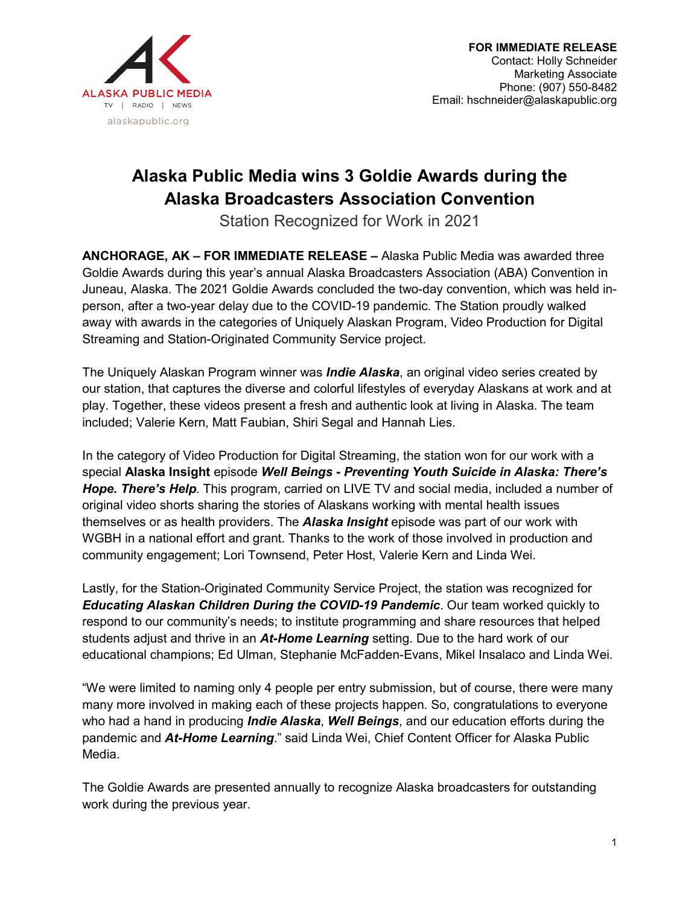

## **Alaska Public Media wins 3 Goldie Awards during the Alaska Broadcasters Association Convention**

Station Recognized for Work in 2021

**ANCHORAGE, AK – FOR IMMEDIATE RELEASE –** Alaska Public Media was awarded three Goldie Awards during this year's annual Alaska Broadcasters Association (ABA) Convention in Juneau, Alaska. The 2021 Goldie Awards concluded the two-day convention, which was held inperson, after a two-year delay due to the COVID-19 pandemic. The Station proudly walked away with awards in the categories of Uniquely Alaskan Program, Video Production for Digital Streaming and Station-Originated Community Service project.

The Uniquely Alaskan Program winner was *Indie Alaska*, an original video series created by our station, that captures the diverse and colorful lifestyles of everyday Alaskans at work and at play. Together, these videos present a fresh and authentic look at living in Alaska. The team included; Valerie Kern, Matt Faubian, Shiri Segal and Hannah Lies.

In the category of Video Production for Digital Streaming, the station won for our work with a special **Alaska Insight** episode *Well Beings* **-** *Preventing Youth Suicide in Alaska: There's Hope. There's Help.* This program, carried on LIVE TV and social media, included a number of original video shorts sharing the stories of Alaskans working with mental health issues themselves or as health providers. The *Alaska Insight* episode was part of our work with WGBH in a national effort and grant. Thanks to the work of those involved in production and community engagement; Lori Townsend, Peter Host, Valerie Kern and Linda Wei.

Lastly, for the Station-Originated Community Service Project, the station was recognized for *Educating Alaskan Children During the COVID-19 Pandemic*. Our team worked quickly to respond to our community's needs; to institute programming and share resources that helped students adjust and thrive in an *At-Home Learning* setting. Due to the hard work of our educational champions; Ed Ulman, Stephanie McFadden-Evans, Mikel Insalaco and Linda Wei.

"We were limited to naming only 4 people per entry submission, but of course, there were many many more involved in making each of these projects happen. So, congratulations to everyone who had a hand in producing *Indie Alaska*, *Well Beings*, and our education efforts during the pandemic and *At-Home Learning*." said Linda Wei, Chief Content Officer for Alaska Public Media.

The Goldie Awards are presented annually to recognize Alaska broadcasters for outstanding work during the previous year.